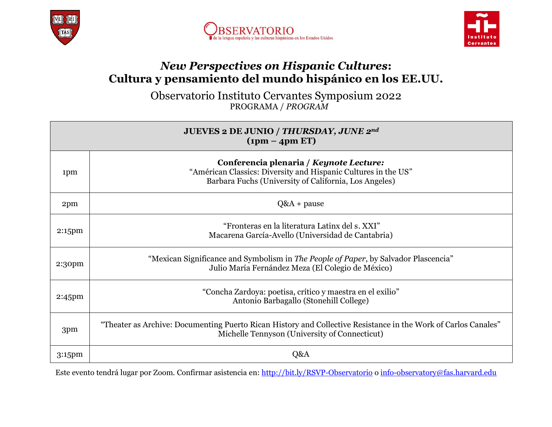





## *New Perspectives on Hispanic Cultures***: Cultura y pensamiento del mundo hispánico en los EE.UU.**

Observatorio Instituto Cervantes Symposium 2022 PROGRAMA / *PROGRAM*

| JUEVES 2 DE JUNIO / THURSDAY, JUNE 2nd<br>$(1pm - 4pm EF)$ |                                                                                                                                                                    |
|------------------------------------------------------------|--------------------------------------------------------------------------------------------------------------------------------------------------------------------|
| 1pm                                                        | Conferencia plenaria / Keynote Lecture:<br>"Américan Classics: Diversity and Hispanic Cultures in the US"<br>Barbara Fuchs (University of California, Los Angeles) |
| 2pm                                                        | $Q&A + pause$                                                                                                                                                      |
| 2:15pm                                                     | "Fronteras en la literatura Latinx del s. XXI"<br>Macarena García-Avello (Universidad de Cantabria)                                                                |
| 2:30pm                                                     | "Mexican Significance and Symbolism in The People of Paper, by Salvador Plascencia"<br>Julio María Fernández Meza (El Colegio de México)                           |
| $2:45$ pm                                                  | "Concha Zardoya: poetisa, crítico y maestra en el exilio"<br>Antonio Barbagallo (Stonehill College)                                                                |
| 3pm                                                        | "Theater as Archive: Documenting Puerto Rican History and Collective Resistance in the Work of Carlos Canales"<br>Michelle Tennyson (University of Connecticut)    |
| $3:15$ pm                                                  | Q&A                                                                                                                                                                |

Este evento tendrá lugar por Zoom. Confirmar asistencia en: <http://bit.ly/RSVP-Observatorio> [o info-observatory@fas.harvard.edu](mailto:info-observatory@fas.harvard.edu?subject=RSVP:%20Simposio%20Observatorio%20Cervantes%20-%20Harvard%20University%20(FAS))